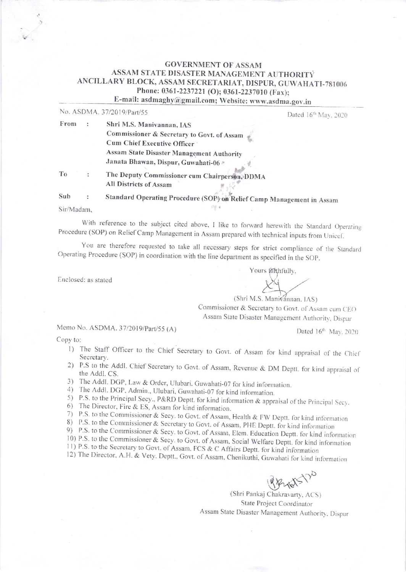## **GOVERNMENT OF ASSAM** ASSAM STATE DISASTER MANAGEMENT AUTHORITY ANCILLARY BLOCK, ASSAM SECRETARIAT, DISPUR, GUWAHATI-781006 Phone: 0361-2237221 (O); 0361-2237010 (Fax); E-mail: asdmaghy@gmail.com; Website: www.asdma.gov.in

No. ASDMA 37/2019/Part/55

|      | NO. ASDMA, 5//2019/Part/55                    | Dated 16 <sup>th</sup> May, 2020 |
|------|-----------------------------------------------|----------------------------------|
| From | Shri M.S. Manivannan, IAS                     |                                  |
|      | Commissioner & Secretary to Govt. of Assam    |                                  |
|      | Cum Chief Executive Officer                   |                                  |
|      | Assam State Disaster Management Authority     |                                  |
|      | Janata Bhawan, Dispur, Guwahati-06            |                                  |
| To   | The Deputy Commissioner cum Chairperson, DDMA |                                  |
|      | All Districts of Assam                        |                                  |
|      |                                               |                                  |

Standard Operating Procedure (SOP) on Relief Camp Management in Assam Sub  $\cdot$ 

Sir/Madam,

With reference to the subject cited above, I like to forward herewith the Standard Operating Procedure (SOP) on Relief Camp Management in Assam prepared with technical inputs from Unicef.

 $-16$ 

You are therefore requested to take all necessary steps for strict compliance of the Standard Operating Procedure (SOP) in coordination with the line department as specified in the SOP.

Enclosed: as stated

(Shri M.S. Manivannan, IAS) Commissioner & Secretary to Govt. of Assam cum CEO Assam State Disaster Management Authority, Dispur

Memo No. ASDMA. 37/2019/Part/55 (A)

Dated 16th May, 2020

Copy to:

- 1) The Staff Officer to the Chief Secretary to Govt. of Assam for kind appraisal of the Chief Secretary.
- 2) P.S to the Addl. Chief Secretary to Govt. of Assam, Revenue & DM Deptt. for kind appraisal of the Addl. CS.
- 3) The Addl. DGP, Law & Order, Ulubari. Guwahati-07 for kind information.
- 4) The Addl. DGP, Admin., Ulubari, Guwahati-07 for kind information.
- 5) P.S. to the Principal Secy., P&RD Deptt. for kind information & appraisal of the Principal Secy.
- 6) The Director, Fire & ES, Assam for kind information.
- 7) P.S. to the Commissioner & Secy. to Govt. of Assam, Health & FW Deptt. for kind information
- 8) P.S. to the Commissioner & Secretary to Govt. of Assam, PHE Deptt. for kind information
- 9) P.S. to the Commissioner & Secy. to Govt. of Assam, Elem. Education Deptt. for kind information
- 10) P.S. to the Commissioner & Secy. to Govt. of Assam, Social Welfare Deptt. for kind information
- 11) P.S. to the Secretary to Govt. of Assam, FCS & C Affairs Deptt. for kind information

12) The Director, A.H. & Vety. Deptt., Govt. of Assam, Chenikuthi, Guwahati for kind information

Phill

(Shri Pankaj Chakravarty, ACS) State Project Coordinator Assam State Disaster Management Authority, Dispur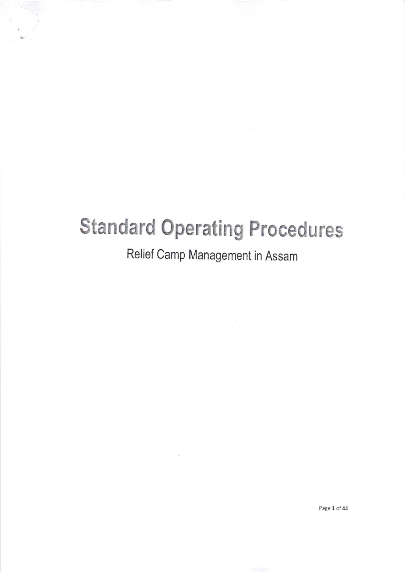# **Standard Operating Procedures**

# Relief Camp Management in Assam

Page 1 of 44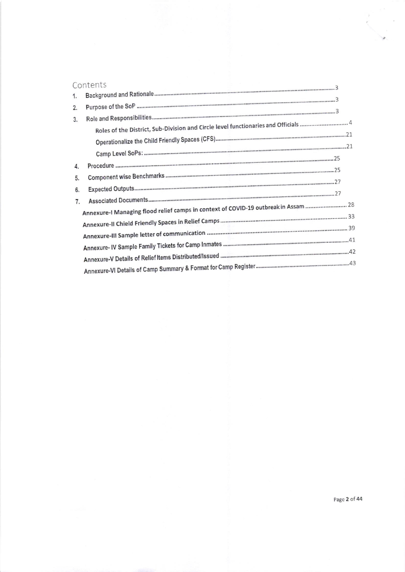|    | Contents                                                                            |  |
|----|-------------------------------------------------------------------------------------|--|
| 1. |                                                                                     |  |
| 2. |                                                                                     |  |
| 3. |                                                                                     |  |
|    |                                                                                     |  |
|    |                                                                                     |  |
| 4. |                                                                                     |  |
| 5. |                                                                                     |  |
| 6. |                                                                                     |  |
| 7. | Annexure-I Managing flood relief camps in context of COVID-19 outbreak in Assam  28 |  |
|    |                                                                                     |  |
|    |                                                                                     |  |
|    |                                                                                     |  |
|    |                                                                                     |  |
|    |                                                                                     |  |